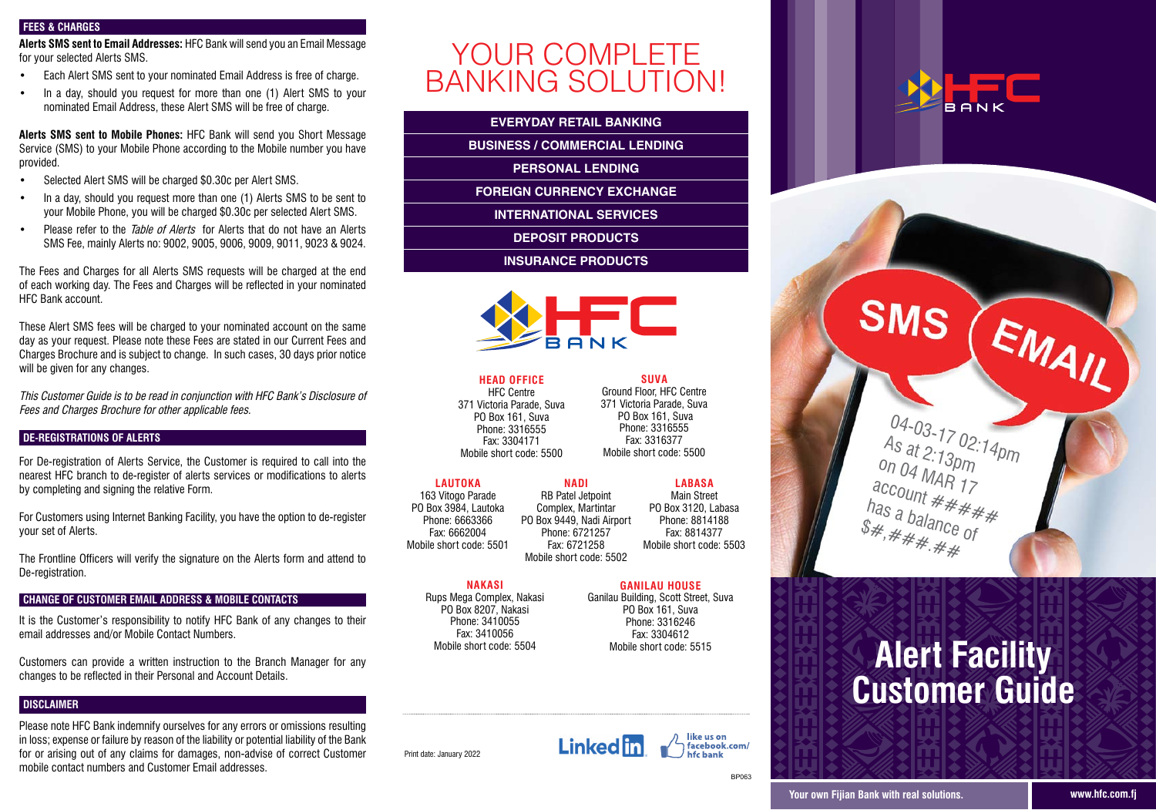## **FEES & CHARGES**

**Alerts SMS sent to Email Addresses:** HFC Bank will send you an Email Message for your selected Alerts SMS.

- Fach Alert SMS sent to your nominated Fmail Address is free of charge.
- In a day, should you request for more than one (1) Alert SMS to your nominated Email Address, these Alert SMS will be free of charge.

**Alerts SMS sent to Mobile Phones:** HFC Bank will send you Short Message Service (SMS) to your Mobile Phone according to the Mobile number you have provided.

- Selected Alert SMS will be charged \$0.30c per Alert SMS.
- In a day, should you request more than one (1) Alerts SMS to be sent to your Mobile Phone, you will be charged \$0.30c per selected Alert SMS.
- Please refer to the Table of Alerts for Alerts that do not have an Alerts SMS Fee, mainly Alerts no: 9002, 9005, 9006, 9009, 9011, 9023 & 9024.

The Fees and Charges for all Alerts SMS requests will be charged at the end of each working day. The Fees and Charges will be reflected in your nominated HFC Bank account.

These Alert SMS fees will be charged to your nominated account on the same day as your request. Please note these Fees are stated in our Current Fees and Charges Brochure and is subject to change. In such cases, 30 days prior notice will be given for any changes.

This Customer Guide is to be read in conjunction with HFC Bank's Disclosure of Fees and Charges Brochure for other applicable fees.

### **DE-REGISTRATIONS OF ALERTS**

For De-registration of Alerts Service, the Customer is required to call into the nearest HFC branch to de-register of alerts services or modifications to alerts by completing and signing the relative Form.

For Customers using Internet Banking Facility, you have the option to de-register your set of Alerts.

The Frontline Officers will verify the signature on the Alerts form and attend to De-registration.

## **CHANGE OF CUSTOMER EMAIL ADDRESS & MOBILE CONTACTS**

It is the Customer's responsibility to notify HFC Bank of any changes to their email addresses and/or Mobile Contact Numbers.

Customers can provide a written instruction to the Branch Manager for any changes to be reflected in their Personal and Account Details.

## **DISCLAIMER**

Please note HFC Bank indemnify ourselves for any errors or omissions resulting in loss; expense or failure by reason of the liability or potential liability of the Bank for or arising out of any claims for damages, non-advise of correct Customer mobile contact numbers and Customer Email addresses.

# YOUR COMPLETE **BANKING SOLUTION!**

## **EVERYDAY RETAIL BANKING**

**PERSONAL LENDING** 

**PERSONAL LENDING** 

**FOREIGN CURRENCY EXCHANGE** 

**INTERNATIONAL SERVICES** 

**INSURANCE PRODUCTS** 

**INSURANCE PRODUCTS**



**HEAD OFFICE** HFC Centre nru centre<br>371 Victoria Parade, Suva victoria Parade, S<br>PO Box 161, Suva Phone: 3316555 Fax: 3304171 Mobile short code: 5500 **READ UFFILE**  $\frac{1}{2}$  do  $\frac{1}{2}$  code:  $\frac{1}{2}$  code:  $\frac{1}{2}$  code:  $\frac{1}{2}$  code:  $\frac{1}{2}$  code:  $\frac{1}{2}$  code:  $\frac{1}{2}$  code:  $\frac{1}{2}$  code:  $\frac{1}{2}$  code:  $\frac{1}{2}$  code:  $\frac{1}{2}$  code:  $\frac{1}{2}$  code:  $\frac{1}{2}$  code:

SUVA <mark>SUVA</mark><br>Ground Floor, HFC Centre urouna <del>r</del>ioor, Firo centre<br>371 Victoria Parade, Suva r victoria Parade, S<br>PO Box 161, Suva PO вох тот, suva<br>Phone: 3316555 Fax: 3316377 Mobile short code: 5500

LAUTOKA **LAUTUNA**<br>163 Vitogo Parade PO Box 3984, Lautoka Phone: 6663366 Fax: 6662004 Mobile short code: 5501 **NADI** ا <mark>NADI</mark><br>RB Patel Jetpoint Complex, Martintar PO Box 9449, Nadi Airport Phone: 6721257 Fax: 6721258 os vilogo Parac RB Patel Jetpoint

Mobile short code: 5502 LABASA **∟аваъа**<br>Main Street PO Box 3120, Labasa Phone: 8814188 Fax: 8814377 Mobile short code: 5503 **GANILAU HOUSE** Maill Stieet<br>Decenii:

## **NAKASI** Rups Mega Complex, Nakasi

Uuo: UUU

<mark>NANASI</mark><br>Rups Mega Complex, Nakasi PO Box 8207, Nakasi Phone: 3410055 Fax: 3410056 Mobile short code: 5504 rega complex,<br>P

GANILAU HOUSE  $\frac{1}{\sqrt{2}}$ ANILAU HUU<mark>d</mark>

Ganilau Building, Scott Street, Suva PO Box 161, Suva Phone: 3316246 Fax: 3304612 Mobile short code: 5515





**BP063** 





# **Alert Facility Customer Guide**

Print date: January 2022